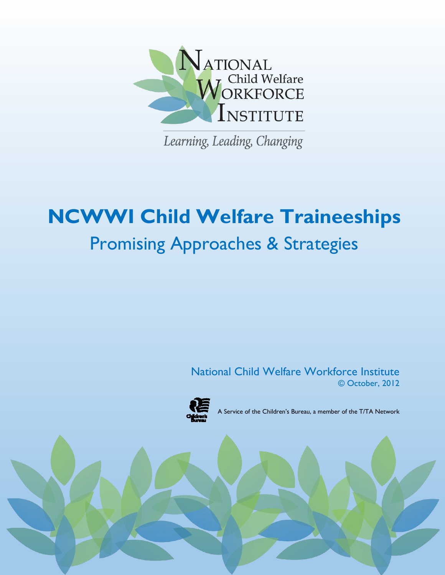

Learning, Leading, Changing

# **NCWWI Child Welfare Traineeships** Promising Approaches & Strategies

National Child Welfare Workforce Institute © October, 2012



A Service of the Children's Bureau, a member of the T/TA Network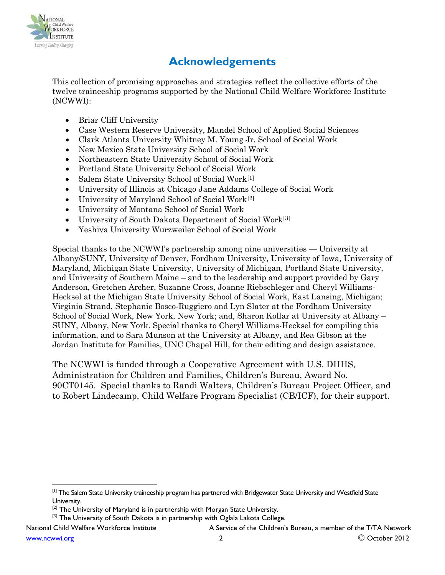

# **Acknowledgements**

This collection of promising approaches and strategies reflect the collective efforts of the twelve traineeship programs supported by the National Child Welfare Workforce Institute (NCWWI):

- Briar Cliff University
- Case Western Reserve University, Mandel School of Applied Social Sciences
- Clark Atlanta University Whitney M. Young Jr. School of Social Work
- New Mexico State University School of Social Work
- Northeastern State University School of Social Work
- Portland State University School of Social Work
- Salem State University School of Social Work<sup>[\[1\]](#page-1-0)</sup>
- University of Illinois at Chicago Jane Addams College of Social Work
- University of Maryland School of Social Work[\[2\]](#page-1-1)
- University of Montana School of Social Work
- University of South Dakota Department of Social Work<sup>[\[3\]](#page-1-2)</sup>
- Yeshiva University Wurzweiler School of Social Work

Special thanks to the NCWWI's partnership among nine universities — University at Albany/SUNY, University of Denver, Fordham University, University of Iowa, University of Maryland, Michigan State University, University of Michigan, Portland State University, and University of Southern Maine – and to the leadership and support provided by Gary Anderson, Gretchen Archer, Suzanne Cross, Joanne Riebschleger and Cheryl Williams-Hecksel at the Michigan State University School of Social Work, East Lansing, Michigan; Virginia Strand, Stephanie Bosco-Ruggiero and Lyn Slater at the Fordham University School of Social Work, New York, New York; and, Sharon Kollar at University at Albany – SUNY, Albany, New York. Special thanks to Cheryl Williams-Hecksel for compiling this information, and to Sara Munson at the University at Albany, and Rea Gibson at the Jordan Institute for Families, UNC Chapel Hill, for their editing and design assistance.

The NCWWI is funded through a Cooperative Agreement with U.S. DHHS, Administration for Children and Families, Children's Bureau, Award No. 90CT0145. Special thanks to Randi Walters, Children's Bureau Project Officer, and to Robert Lindecamp, Child Welfare Program Specialist (CB/ICF), for their support.

<span id="page-1-0"></span><sup>[1]</sup> The Salem State University traineeship program has partnered with Bridgewater State University and Westfield State University.

<span id="page-1-1"></span><sup>&</sup>lt;sup>[2]</sup> The University of Maryland is in partnership with Morgan State University.

<span id="page-1-2"></span><sup>&</sup>lt;sup>[3]</sup> The University of South Dakota is in partnership with Oglala Lakota College.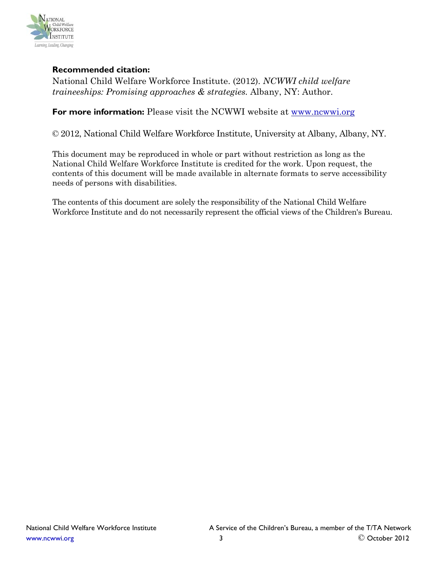

# **Recommended citation:**

National Child Welfare Workforce Institute. (2012). *NCWWI child welfare traineeships: Promising approaches & strategies.* Albany, NY: Author.

**For more information:** Please visit the NCWWI website at [www.ncwwi.org](http://www.ncwwi.org/)

© 2012, National Child Welfare Workforce Institute, University at Albany, Albany, NY.

This document may be reproduced in whole or part without restriction as long as the National Child Welfare Workforce Institute is credited for the work. Upon request, the contents of this document will be made available in alternate formats to serve accessibility needs of persons with disabilities.

The contents of this document are solely the responsibility of the National Child Welfare Workforce Institute and do not necessarily represent the official views of the Children's Bureau.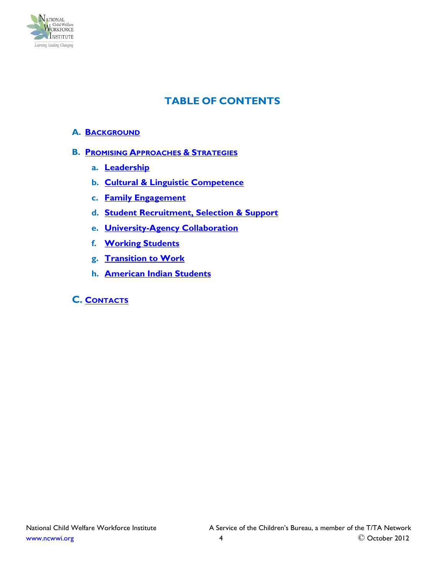

# **TABLE OF CONTENTS**

#### **A. [BACKGROUND](#page-4-0)**

#### **B. [PROMISING APPROACHES &](#page-5-0) STRATEGIES**

- **a. [Leadership](#page-5-1)**
- **b. [Cultural & Linguistic Competence](#page-5-2)**
- **c. [Family Engagement](#page-7-0)**
- **d. [Student Recruitment, Selection & Support](#page-10-0)**
- **e. [University-Agency Collaboration](#page-12-0)**
- **f. [Working Students](#page-14-0)**
- **g. [Transition to Work](#page-15-0)**
- **h. [American Indian Students](#page-18-0)**

# **C. [CONTACTS](#page-20-0)**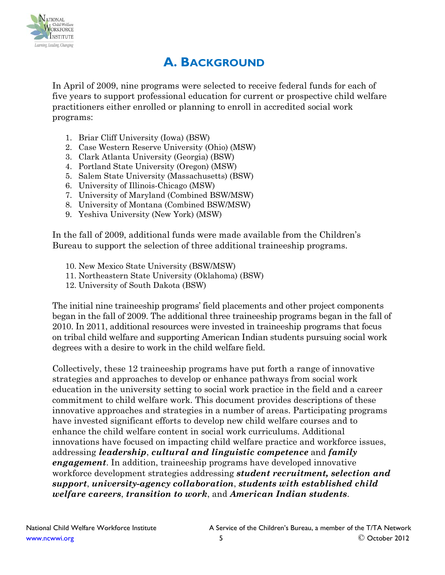

# **A. BACKGROUND**

<span id="page-4-0"></span>In April of 2009, nine programs were selected to receive federal funds for each of five years to support professional education for current or prospective child welfare practitioners either enrolled or planning to enroll in accredited social work programs:

- 1. Briar Cliff University (Iowa) (BSW)
- 2. Case Western Reserve University (Ohio) (MSW)
- 3. Clark Atlanta University (Georgia) (BSW)
- 4. Portland State University (Oregon) (MSW)
- 5. Salem State University (Massachusetts) (BSW)
- 6. University of Illinois-Chicago (MSW)
- 7. University of Maryland (Combined BSW/MSW)
- 8. University of Montana (Combined BSW/MSW)
- 9. Yeshiva University (New York) (MSW)

In the fall of 2009, additional funds were made available from the Children's Bureau to support the selection of three additional traineeship programs.

- 10. New Mexico State University (BSW/MSW)
- 11. Northeastern State University (Oklahoma) (BSW)
- 12. University of South Dakota (BSW)

The initial nine traineeship programs' field placements and other project components began in the fall of 2009. The additional three traineeship programs began in the fall of 2010. In 2011, additional resources were invested in traineeship programs that focus on tribal child welfare and supporting American Indian students pursuing social work degrees with a desire to work in the child welfare field.

Collectively, these 12 traineeship programs have put forth a range of innovative strategies and approaches to develop or enhance pathways from social work education in the university setting to social work practice in the field and a career commitment to child welfare work. This document provides descriptions of these innovative approaches and strategies in a number of areas. Participating programs have invested significant efforts to develop new child welfare courses and to enhance the child welfare content in social work curriculums. Additional innovations have focused on impacting child welfare practice and workforce issues, addressing *leadership*, *cultural and linguistic competence* and *family engagement*. In addition, traineeship programs have developed innovative workforce development strategies addressing *student recruitment, selection and support*, *university-agency collaboration*, *students with established child welfare careers*, *transition to work*, and *American Indian students*.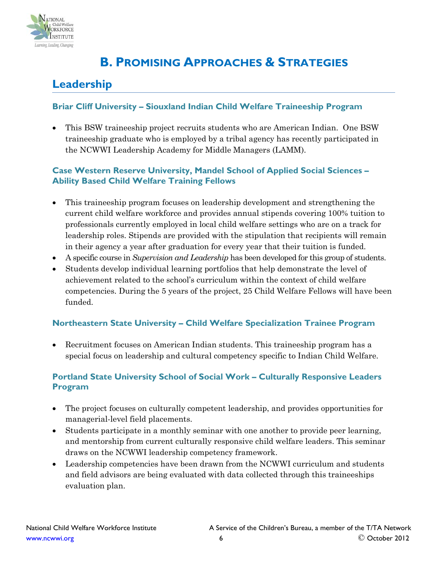

# <span id="page-5-0"></span>**B. PROMISING APPROACHES & STRATEGIES**

# <span id="page-5-1"></span>**Leadership**

#### **Briar Cliff University – Siouxland Indian Child Welfare Traineeship Program**

• This BSW traineeship project recruits students who are American Indian. One BSW traineeship graduate who is employed by a tribal agency has recently participated in the NCWWI Leadership Academy for Middle Managers (LAMM).

#### **Case Western Reserve University, Mandel School of Applied Social Sciences – Ability Based Child Welfare Training Fellows**

- This traineeship program focuses on leadership development and strengthening the current child welfare workforce and provides annual stipends covering 100% tuition to professionals currently employed in local child welfare settings who are on a track for leadership roles. Stipends are provided with the stipulation that recipients will remain in their agency a year after graduation for every year that their tuition is funded.
- A specific course in *Supervision and Leadership* has been developed for this group of students.
- Students develop individual learning portfolios that help demonstrate the level of achievement related to the school's curriculum within the context of child welfare competencies. During the 5 years of the project, 25 Child Welfare Fellows will have been funded.

#### **Northeastern State University – Child Welfare Specialization Trainee Program**

• Recruitment focuses on American Indian students. This traineeship program has a special focus on leadership and cultural competency specific to Indian Child Welfare.

# **Portland State University School of Social Work – Culturally Responsive Leaders Program**

- The project focuses on culturally competent leadership, and provides opportunities for managerial-level field placements.
- Students participate in a monthly seminar with one another to provide peer learning, and mentorship from current culturally responsive child welfare leaders. This seminar draws on the NCWWI leadership competency framework.
- <span id="page-5-2"></span>• Leadership competencies have been drawn from the NCWWI curriculum and students and field advisors are being evaluated with data collected through this traineeships evaluation plan.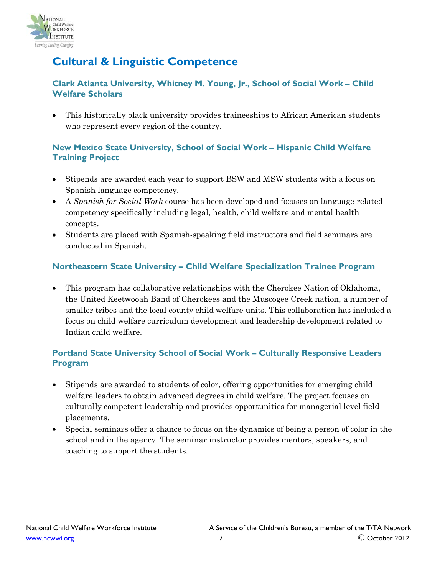

# **Cultural & Linguistic Competence**

# **Clark Atlanta University, Whitney M. Young, Jr., School of Social Work – Child Welfare Scholars**

• This historically black university provides traineeships to African American students who represent every region of the country.

# **New Mexico State University, School of Social Work – Hispanic Child Welfare Training Project**

- Stipends are awarded each year to support BSW and MSW students with a focus on Spanish language competency.
- A *Spanish for Social Work* course has been developed and focuses on language related competency specifically including legal, health, child welfare and mental health concepts.
- Students are placed with Spanish-speaking field instructors and field seminars are conducted in Spanish.

# **Northeastern State University – Child Welfare Specialization Trainee Program**

• This program has collaborative relationships with the Cherokee Nation of Oklahoma, the United Keetwooah Band of Cherokees and the Muscogee Creek nation, a number of smaller tribes and the local county child welfare units. This collaboration has included a focus on child welfare curriculum development and leadership development related to Indian child welfare.

# **Portland State University School of Social Work – Culturally Responsive Leaders Program**

- Stipends are awarded to students of color, offering opportunities for emerging child welfare leaders to obtain advanced degrees in child welfare. The project focuses on culturally competent leadership and provides opportunities for managerial level field placements.
- Special seminars offer a chance to focus on the dynamics of being a person of color in the school and in the agency. The seminar instructor provides mentors, speakers, and coaching to support the students.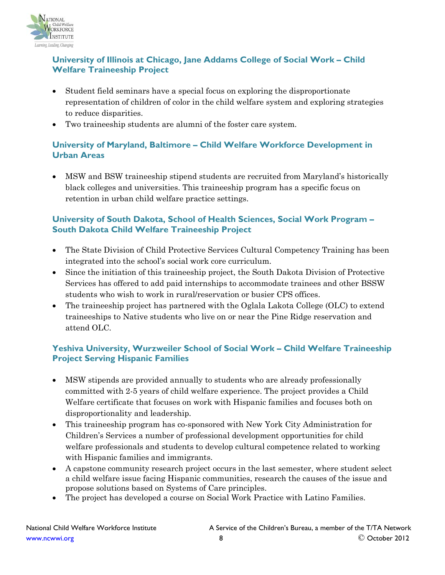

# **University of Illinois at Chicago, Jane Addams College of Social Work – Child Welfare Traineeship Project**

- Student field seminars have a special focus on exploring the disproportionate representation of children of color in the child welfare system and exploring strategies to reduce disparities.
- Two traineeship students are alumni of the foster care system.

# **University of Maryland, Baltimore – Child Welfare Workforce Development in Urban Areas**

• MSW and BSW traineeship stipend students are recruited from Maryland's historically black colleges and universities. This traineeship program has a specific focus on retention in urban child welfare practice settings.

# **University of South Dakota, School of Health Sciences, Social Work Program – South Dakota Child Welfare Traineeship Project**

- The State Division of Child Protective Services Cultural Competency Training has been integrated into the school's social work core curriculum.
- Since the initiation of this traineeship project, the South Dakota Division of Protective Services has offered to add paid internships to accommodate trainees and other BSSW students who wish to work in rural/reservation or busier CPS offices.
- The traineeship project has partnered with the Oglala Lakota College (OLC) to extend traineeships to Native students who live on or near the Pine Ridge reservation and attend OLC.

# **Yeshiva University, Wurzweiler School of Social Work – Child Welfare Traineeship Project Serving Hispanic Families**

- MSW stipends are provided annually to students who are already professionally committed with 2-5 years of child welfare experience. The project provides a Child Welfare certificate that focuses on work with Hispanic families and focuses both on disproportionality and leadership.
- This traineeship program has co-sponsored with New York City Administration for Children's Services a number of professional development opportunities for child welfare professionals and students to develop cultural competence related to working with Hispanic families and immigrants.
- A capstone community research project occurs in the last semester, where student select a child welfare issue facing Hispanic communities, research the causes of the issue and propose solutions based on Systems of Care principles.
- <span id="page-7-0"></span>• The project has developed a course on Social Work Practice with Latino Families.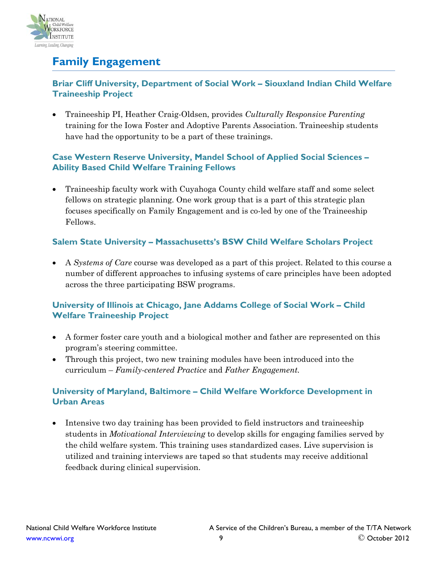

# **Family Engagement**

# **Briar Cliff University, Department of Social Work – Siouxland Indian Child Welfare Traineeship Project**

• Traineeship PI, Heather Craig-Oldsen, provides *Culturally Responsive Parenting* training for the Iowa Foster and Adoptive Parents Association. Traineeship students have had the opportunity to be a part of these trainings.

# **Case Western Reserve University, Mandel School of Applied Social Sciences – Ability Based Child Welfare Training Fellows**

• Traineeship faculty work with Cuyahoga County child welfare staff and some select fellows on strategic planning. One work group that is a part of this strategic plan focuses specifically on Family Engagement and is co-led by one of the Traineeship Fellows.

# **Salem State University – Massachusetts's BSW Child Welfare Scholars Project**

• A *Systems of Care* course was developed as a part of this project. Related to this course a number of different approaches to infusing systems of care principles have been adopted across the three participating BSW programs.

# **University of Illinois at Chicago, Jane Addams College of Social Work – Child Welfare Traineeship Project**

- A former foster care youth and a biological mother and father are represented on this program's steering committee.
- Through this project, two new training modules have been introduced into the curriculum – *Family-centered Practice* and *Father Engagement.*

# **University of Maryland, Baltimore – Child Welfare Workforce Development in Urban Areas**

• Intensive two day training has been provided to field instructors and traineeship students in *Motivational Interviewing* to develop skills for engaging families served by the child welfare system. This training uses standardized cases. Live supervision is utilized and training interviews are taped so that students may receive additional feedback during clinical supervision.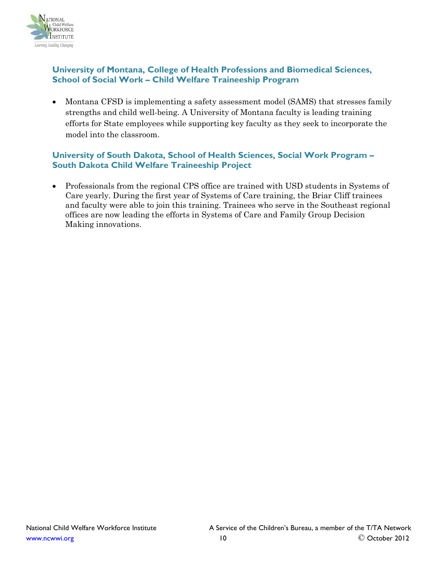

## **University of Montana, College of Health Professions and Biomedical Sciences, School of Social Work – Child Welfare Traineeship Program**

• Montana CFSD is implementing a safety assessment model (SAMS) that stresses family strengths and child well-being. A University of Montana faculty is leading training efforts for State employees while supporting key faculty as they seek to incorporate the model into the classroom.

# **University of South Dakota, School of Health Sciences, Social Work Program – South Dakota Child Welfare Traineeship Project**

• Professionals from the regional CPS office are trained with USD students in Systems of Care yearly. During the first year of Systems of Care training, the Briar Cliff trainees and faculty were able to join this training. Trainees who serve in the Southeast regional offices are now leading the efforts in Systems of Care and Family Group Decision Making innovations.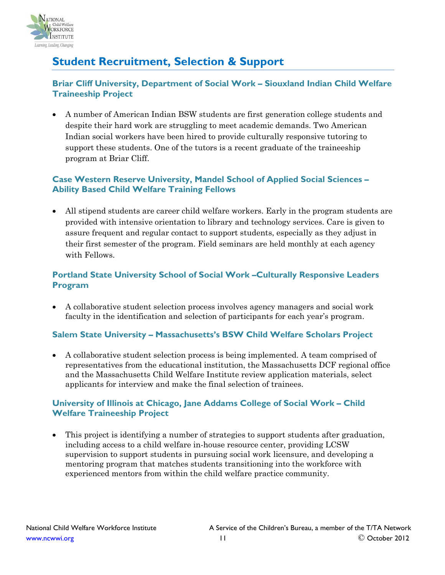

# <span id="page-10-0"></span>**Student Recruitment, Selection & Support**

# **Briar Cliff University, Department of Social Work – Siouxland Indian Child Welfare Traineeship Project**

• A number of American Indian BSW students are first generation college students and despite their hard work are struggling to meet academic demands. Two American Indian social workers have been hired to provide culturally responsive tutoring to support these students. One of the tutors is a recent graduate of the traineeship program at Briar Cliff.

# **Case Western Reserve University, Mandel School of Applied Social Sciences – Ability Based Child Welfare Training Fellows**

• All stipend students are career child welfare workers. Early in the program students are provided with intensive orientation to library and technology services. Care is given to assure frequent and regular contact to support students, especially as they adjust in their first semester of the program. Field seminars are held monthly at each agency with Fellows.

# **Portland State University School of Social Work –Culturally Responsive Leaders Program**

• A collaborative student selection process involves agency managers and social work faculty in the identification and selection of participants for each year's program.

# **Salem State University – Massachusetts's BSW Child Welfare Scholars Project**

• A collaborative student selection process is being implemented. A team comprised of representatives from the educational institution, the Massachusetts DCF regional office and the Massachusetts Child Welfare Institute review application materials, select applicants for interview and make the final selection of trainees.

# **University of Illinois at Chicago, Jane Addams College of Social Work – Child Welfare Traineeship Project**

• This project is identifying a number of strategies to support students after graduation, including access to a child welfare in-house resource center, providing LCSW supervision to support students in pursuing social work licensure, and developing a mentoring program that matches students transitioning into the workforce with experienced mentors from within the child welfare practice community.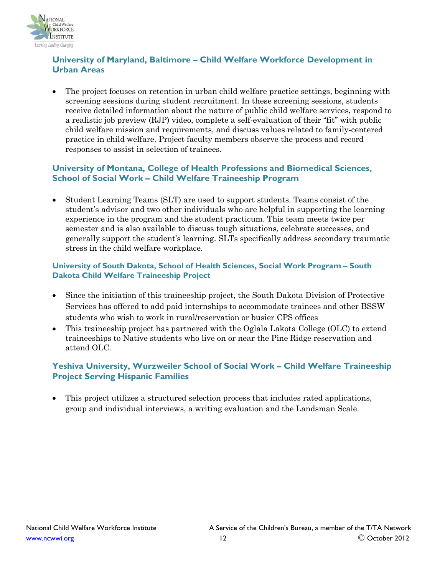

### **University of Maryland, Baltimore – Child Welfare Workforce Development in Urban Areas**

• The project focuses on retention in urban child welfare practice settings, beginning with screening sessions during student recruitment. In these screening sessions, students receive detailed information about the nature of public child welfare services, respond to a realistic job preview (RJP) video, complete a self-evaluation of their "fit" with public child welfare mission and requirements, and discuss values related to family-centered practice in child welfare. Project faculty members observe the process and record responses to assist in selection of trainees.

#### **University of Montana, College of Health Professions and Biomedical Sciences, School of Social Work – Child Welfare Traineeship Program**

• Student Learning Teams (SLT) are used to support students. Teams consist of the student's advisor and two other individuals who are helpful in supporting the learning experience in the program and the student practicum. This team meets twice per semester and is also available to discuss tough situations, celebrate successes, and generally support the student's learning. SLTs specifically address secondary traumatic stress in the child welfare workplace.

#### **University of South Dakota, School of Health Sciences, Social Work Program – South Dakota Child Welfare Traineeship Project**

- Since the initiation of this traineeship project, the South Dakota Division of Protective Services has offered to add paid internships to accommodate trainees and other BSSW students who wish to work in rural/reservation or busier CPS offices
- This traineeship project has partnered with the Oglala Lakota College (OLC) to extend traineeships to Native students who live on or near the Pine Ridge reservation and attend OLC.

#### **Yeshiva University, Wurzweiler School of Social Work – Child Welfare Traineeship Project Serving Hispanic Families**

• This project utilizes a structured selection process that includes rated applications, group and individual interviews, a writing evaluation and the Landsman Scale.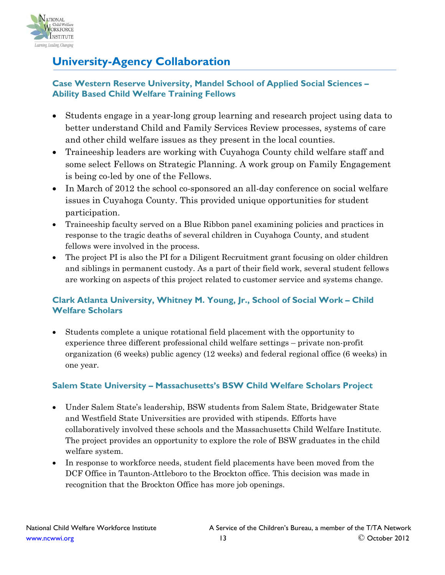

# <span id="page-12-0"></span>**University-Agency Collaboration**

# **Case Western Reserve University, Mandel School of Applied Social Sciences – Ability Based Child Welfare Training Fellows**

- Students engage in a year-long group learning and research project using data to better understand Child and Family Services Review processes, systems of care and other child welfare issues as they present in the local counties.
- Traineeship leaders are working with Cuyahoga County child welfare staff and some select Fellows on Strategic Planning. A work group on Family Engagement is being co-led by one of the Fellows.
- In March of 2012 the school co-sponsored an all-day conference on social welfare issues in Cuyahoga County. This provided unique opportunities for student participation.
- Traineeship faculty served on a Blue Ribbon panel examining policies and practices in response to the tragic deaths of several children in Cuyahoga County, and student fellows were involved in the process.
- The project PI is also the PI for a Diligent Recruitment grant focusing on older children and siblings in permanent custody. As a part of their field work, several student fellows are working on aspects of this project related to customer service and systems change.

# **Clark Atlanta University, Whitney M. Young, Jr., School of Social Work – Child Welfare Scholars**

• Students complete a unique rotational field placement with the opportunity to experience three different professional child welfare settings – private non-profit organization (6 weeks) public agency (12 weeks) and federal regional office (6 weeks) in one year.

# **Salem State University – Massachusetts's BSW Child Welfare Scholars Project**

- Under Salem State's leadership, BSW students from Salem State, Bridgewater State and Westfield State Universities are provided with stipends. Efforts have collaboratively involved these schools and the Massachusetts Child Welfare Institute. The project provides an opportunity to explore the role of BSW graduates in the child welfare system.
- In response to workforce needs, student field placements have been moved from the DCF Office in Taunton-Attleboro to the Brockton office. This decision was made in recognition that the Brockton Office has more job openings.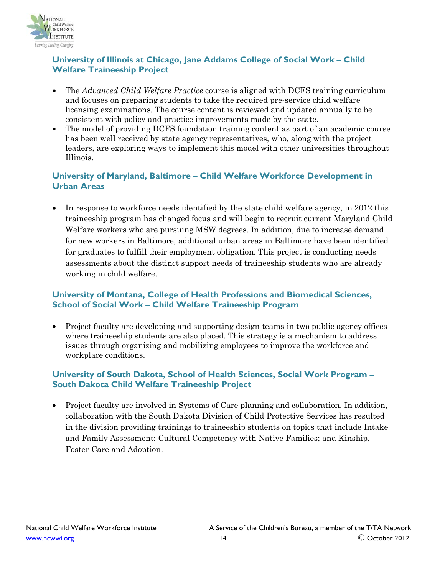

# **University of Illinois at Chicago, Jane Addams College of Social Work – Child Welfare Traineeship Project**

- The *Advanced Child Welfare Practice* course is aligned with DCFS training curriculum and focuses on preparing students to take the required pre-service child welfare licensing examinations. The course content is reviewed and updated annually to be consistent with policy and practice improvements made by the state.
- The model of providing DCFS foundation training content as part of an academic course has been well received by state agency representatives, who, along with the project leaders, are exploring ways to implement this model with other universities throughout Illinois.

#### **University of Maryland, Baltimore – Child Welfare Workforce Development in Urban Areas**

• In response to workforce needs identified by the state child welfare agency, in 2012 this traineeship program has changed focus and will begin to recruit current Maryland Child Welfare workers who are pursuing MSW degrees. In addition, due to increase demand for new workers in Baltimore, additional urban areas in Baltimore have been identified for graduates to fulfill their employment obligation. This project is conducting needs assessments about the distinct support needs of traineeship students who are already working in child welfare.

# **University of Montana, College of Health Professions and Biomedical Sciences, School of Social Work – Child Welfare Traineeship Program**

• Project faculty are developing and supporting design teams in two public agency offices where traineeship students are also placed. This strategy is a mechanism to address issues through organizing and mobilizing employees to improve the workforce and workplace conditions.

# **University of South Dakota, School of Health Sciences, Social Work Program – South Dakota Child Welfare Traineeship Project**

• Project faculty are involved in Systems of Care planning and collaboration. In addition, collaboration with the South Dakota Division of Child Protective Services has resulted in the division providing trainings to traineeship students on topics that include Intake and Family Assessment; Cultural Competency with Native Families; and Kinship, Foster Care and Adoption.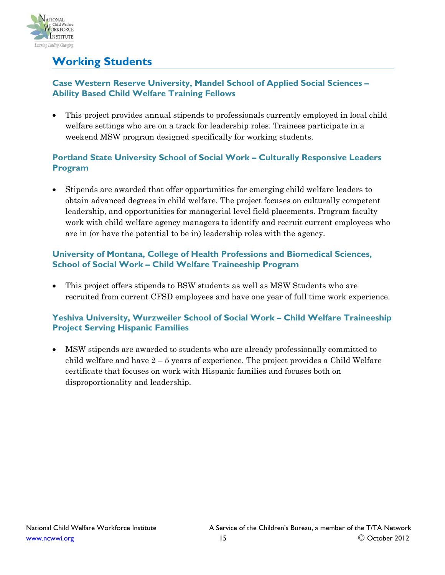

# <span id="page-14-0"></span>**Working Students**

# **Case Western Reserve University, Mandel School of Applied Social Sciences – Ability Based Child Welfare Training Fellows**

• This project provides annual stipends to professionals currently employed in local child welfare settings who are on a track for leadership roles. Trainees participate in a weekend MSW program designed specifically for working students.

# **Portland State University School of Social Work – Culturally Responsive Leaders Program**

• Stipends are awarded that offer opportunities for emerging child welfare leaders to obtain advanced degrees in child welfare. The project focuses on culturally competent leadership, and opportunities for managerial level field placements. Program faculty work with child welfare agency managers to identify and recruit current employees who are in (or have the potential to be in) leadership roles with the agency.

# **University of Montana, College of Health Professions and Biomedical Sciences, School of Social Work – Child Welfare Traineeship Program**

• This project offers stipends to BSW students as well as MSW Students who are recruited from current CFSD employees and have one year of full time work experience.

# **Yeshiva University, Wurzweiler School of Social Work – Child Welfare Traineeship Project Serving Hispanic Families**

• MSW stipends are awarded to students who are already professionally committed to child welfare and have  $2 - 5$  years of experience. The project provides a Child Welfare certificate that focuses on work with Hispanic families and focuses both on disproportionality and leadership.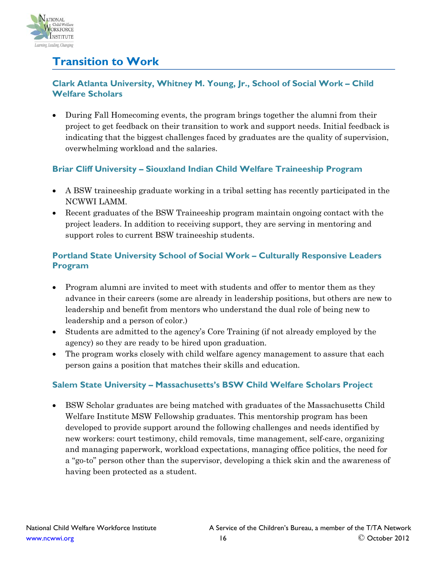

# <span id="page-15-0"></span>**Transition to Work**

# **Clark Atlanta University, Whitney M. Young, Jr., School of Social Work – Child Welfare Scholars**

• During Fall Homecoming events, the program brings together the alumni from their project to get feedback on their transition to work and support needs. Initial feedback is indicating that the biggest challenges faced by graduates are the quality of supervision, overwhelming workload and the salaries.

# **Briar Cliff University – Siouxland Indian Child Welfare Traineeship Program**

- A BSW traineeship graduate working in a tribal setting has recently participated in the NCWWI LAMM.
- Recent graduates of the BSW Traineeship program maintain ongoing contact with the project leaders. In addition to receiving support, they are serving in mentoring and support roles to current BSW traineeship students.

# **Portland State University School of Social Work – Culturally Responsive Leaders Program**

- Program alumni are invited to meet with students and offer to mentor them as they advance in their careers (some are already in leadership positions, but others are new to leadership and benefit from mentors who understand the dual role of being new to leadership and a person of color.)
- Students are admitted to the agency's Core Training (if not already employed by the agency) so they are ready to be hired upon graduation.
- The program works closely with child welfare agency management to assure that each person gains a position that matches their skills and education.

# **Salem State University – Massachusetts's BSW Child Welfare Scholars Project**

• BSW Scholar graduates are being matched with graduates of the Massachusetts Child Welfare Institute MSW Fellowship graduates. This mentorship program has been developed to provide support around the following challenges and needs identified by new workers: court testimony, child removals, time management, self-care, organizing and managing paperwork, workload expectations, managing office politics, the need for a "go-to" person other than the supervisor, developing a thick skin and the awareness of having been protected as a student.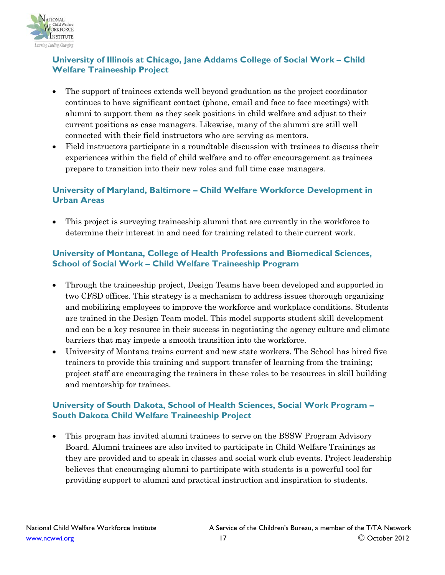

# **University of Illinois at Chicago, Jane Addams College of Social Work – Child Welfare Traineeship Project**

- The support of trainees extends well beyond graduation as the project coordinator continues to have significant contact (phone, email and face to face meetings) with alumni to support them as they seek positions in child welfare and adjust to their current positions as case managers. Likewise, many of the alumni are still well connected with their field instructors who are serving as mentors.
- Field instructors participate in a roundtable discussion with trainees to discuss their experiences within the field of child welfare and to offer encouragement as trainees prepare to transition into their new roles and full time case managers.

# **University of Maryland, Baltimore – Child Welfare Workforce Development in Urban Areas**

• This project is surveying traineeship alumni that are currently in the workforce to determine their interest in and need for training related to their current work.

# **University of Montana, College of Health Professions and Biomedical Sciences, School of Social Work – Child Welfare Traineeship Program**

- Through the traineeship project, Design Teams have been developed and supported in two CFSD offices. This strategy is a mechanism to address issues thorough organizing and mobilizing employees to improve the workforce and workplace conditions. Students are trained in the Design Team model. This model supports student skill development and can be a key resource in their success in negotiating the agency culture and climate barriers that may impede a smooth transition into the workforce.
- University of Montana trains current and new state workers. The School has hired five trainers to provide this training and support transfer of learning from the training; project staff are encouraging the trainers in these roles to be resources in skill building and mentorship for trainees.

# **University of South Dakota, School of Health Sciences, Social Work Program – South Dakota Child Welfare Traineeship Project**

• This program has invited alumni trainees to serve on the BSSW Program Advisory Board. Alumni trainees are also invited to participate in Child Welfare Trainings as they are provided and to speak in classes and social work club events. Project leadership believes that encouraging alumni to participate with students is a powerful tool for providing support to alumni and practical instruction and inspiration to students.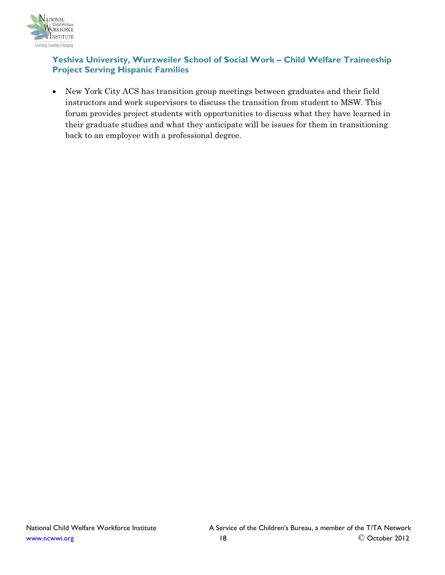

# **Yeshiva University, Wurzweiler School of Social Work – Child Welfare Traineeship Project Serving Hispanic Families**

• New York City ACS has transition group meetings between graduates and their field instructors and work supervisors to discuss the transition from student to MSW. This forum provides project students with opportunities to discuss what they have learned in their graduate studies and what they anticipate will be issues for them in transitioning back to an employee with a professional degree.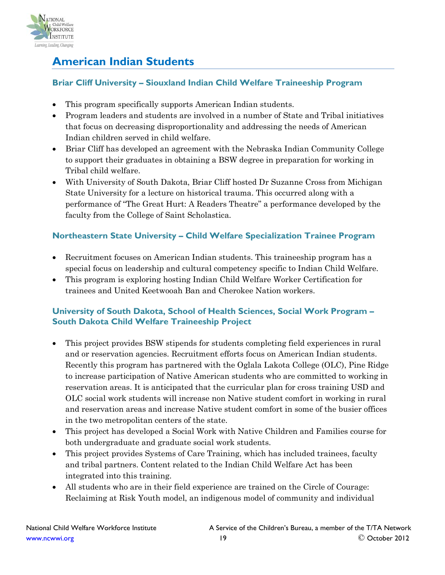

# <span id="page-18-0"></span>**American Indian Students**

# **Briar Cliff University – Siouxland Indian Child Welfare Traineeship Program**

- This program specifically supports American Indian students.
- Program leaders and students are involved in a number of State and Tribal initiatives that focus on decreasing disproportionality and addressing the needs of American Indian children served in child welfare.
- Briar Cliff has developed an agreement with the Nebraska Indian Community College to support their graduates in obtaining a BSW degree in preparation for working in Tribal child welfare.
- With University of South Dakota, Briar Cliff hosted Dr Suzanne Cross from Michigan State University for a lecture on historical trauma. This occurred along with a performance of "The Great Hurt: A Readers Theatre" a performance developed by the faculty from the College of Saint Scholastica.

# **Northeastern State University – Child Welfare Specialization Trainee Program**

- Recruitment focuses on American Indian students. This traineeship program has a special focus on leadership and cultural competency specific to Indian Child Welfare.
- This program is exploring hosting Indian Child Welfare Worker Certification for trainees and United Keetwooah Ban and Cherokee Nation workers.

# **University of South Dakota, School of Health Sciences, Social Work Program – South Dakota Child Welfare Traineeship Project**

- This project provides BSW stipends for students completing field experiences in rural and or reservation agencies. Recruitment efforts focus on American Indian students. Recently this program has partnered with the Oglala Lakota College (OLC), Pine Ridge to increase participation of Native American students who are committed to working in reservation areas. It is anticipated that the curricular plan for cross training USD and OLC social work students will increase non Native student comfort in working in rural and reservation areas and increase Native student comfort in some of the busier offices in the two metropolitan centers of the state.
- This project has developed a Social Work with Native Children and Families course for both undergraduate and graduate social work students.
- This project provides Systems of Care Training, which has included trainees, faculty and tribal partners. Content related to the Indian Child Welfare Act has been integrated into this training.
- All students who are in their field experience are trained on the Circle of Courage: Reclaiming at Risk Youth model, an indigenous model of community and individual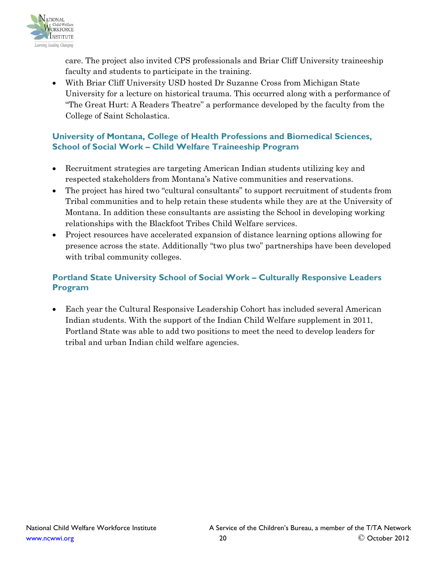

care. The project also invited CPS professionals and Briar Cliff University traineeship faculty and students to participate in the training.

• With Briar Cliff University USD hosted Dr Suzanne Cross from Michigan State University for a lecture on historical trauma. This occurred along with a performance of "The Great Hurt: A Readers Theatre" a performance developed by the faculty from the College of Saint Scholastica.

# **University of Montana, College of Health Professions and Biomedical Sciences, School of Social Work – Child Welfare Traineeship Program**

- Recruitment strategies are targeting American Indian students utilizing key and respected stakeholders from Montana's Native communities and reservations.
- The project has hired two "cultural consultants" to support recruitment of students from Tribal communities and to help retain these students while they are at the University of Montana. In addition these consultants are assisting the School in developing working relationships with the Blackfoot Tribes Child Welfare services.
- Project resources have accelerated expansion of distance learning options allowing for presence across the state. Additionally "two plus two" partnerships have been developed with tribal community colleges.

# **Portland State University School of Social Work – Culturally Responsive Leaders Program**

• Each year the Cultural Responsive Leadership Cohort has included several American Indian students. With the support of the Indian Child Welfare supplement in 2011, Portland State was able to add two positions to meet the need to develop leaders for tribal and urban Indian child welfare agencies.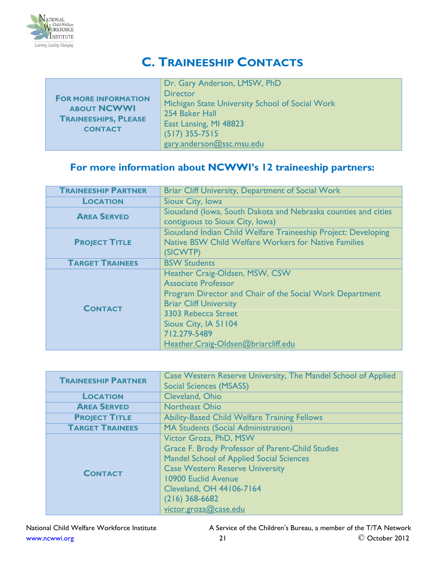

# <span id="page-20-0"></span>**C. TRAINEESHIP CONTACTS**

|                                                   | Dr. Gary Anderson, LMSW, PhD                                       |
|---------------------------------------------------|--------------------------------------------------------------------|
| <b>FOR MORE INFORMATION</b><br><b>ABOUT NCWWI</b> | <b>Director</b><br>Michigan State University School of Social Work |
| <b>TRAINEESHIPS, PLEASE</b>                       | 254 Baker Hall                                                     |
|                                                   | East Lansing, MI 48823                                             |
| <b>CONTACT</b>                                    | $(517)$ 355-7515                                                   |
|                                                   | gary.anderson@ssc.msu.edu                                          |

# **For more information about NCWWI's 12 traineeship partners:**

| <b>TRAINEESHIP PARTNER</b> | Briar Cliff University, Department of Social Work                                                                                                                                                                                                               |
|----------------------------|-----------------------------------------------------------------------------------------------------------------------------------------------------------------------------------------------------------------------------------------------------------------|
| <b>LOCATION</b>            | Sioux City, Iowa                                                                                                                                                                                                                                                |
| <b>AREA SERVED</b>         | Siouxland (Iowa, South Dakota and Nebraska counties and cities<br>contiguous to Sioux City, Iowa)                                                                                                                                                               |
| <b>PROJECT TITLE</b>       | Siouxland Indian Child Welfare Traineeship Project: Developing<br><b>Native BSW Child Welfare Workers for Native Families</b><br>(SICWTP)                                                                                                                       |
| <b>TARGET TRAINEES</b>     | <b>BSW Students</b>                                                                                                                                                                                                                                             |
| <b>CONTACT</b>             | Heather Craig-Oldsen, MSW, CSW<br><b>Associate Professor</b><br>Program Director and Chair of the Social Work Department<br><b>Briar Cliff University</b><br>3303 Rebecca Street<br>Sioux City, IA 51104<br>712.279-5489<br>Heather.Craig-Oldsen@briarcliff.edu |

|                            | Case Western Reserve University, The Mandel School of Applied |
|----------------------------|---------------------------------------------------------------|
| <b>TRAINEESHIP PARTNER</b> | <b>Social Sciences (MSASS)</b>                                |
| <b>LOCATION</b>            | Cleveland, Ohio                                               |
| <b>AREA SERVED</b>         | Northeast Ohio                                                |
| <b>PROJECT TITLE</b>       | <b>Ability-Based Child Welfare Training Fellows</b>           |
| <b>TARGET TRAINEES</b>     | <b>MA Students (Social Administration)</b>                    |
|                            | Victor Groza, PhD, MSW                                        |
|                            | <b>Grace F. Brody Professor of Parent-Child Studies</b>       |
| <b>CONTACT</b>             | <b>Mandel School of Applied Social Sciences</b>               |
|                            | <b>Case Western Reserve University</b>                        |
|                            | 10900 Euclid Avenue                                           |
|                            | Cleveland, OH 44106-7164                                      |
|                            | $(216)$ 368-6682                                              |
|                            | victor.groza@case.edu                                         |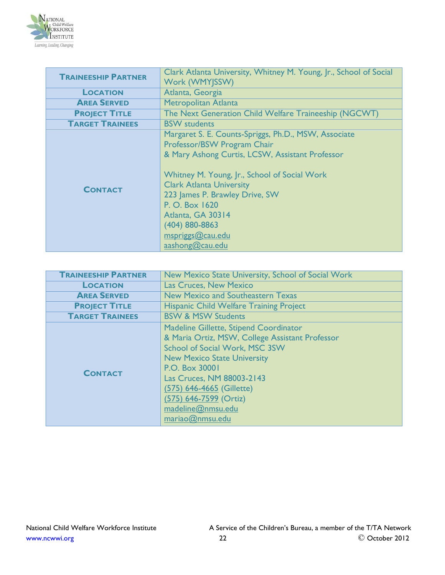

| <b>TRAINEESHIP PARTNER</b> | Clark Atlanta University, Whitney M. Young, Jr., School of Social |
|----------------------------|-------------------------------------------------------------------|
|                            | Work (WMYJSSW)                                                    |
| <b>LOCATION</b>            | Atlanta, Georgia                                                  |
| <b>AREA SERVED</b>         | Metropolitan Atlanta                                              |
| <b>PROJECT TITLE</b>       | The Next Generation Child Welfare Traineeship (NGCWT)             |
| <b>TARGET TRAINEES</b>     | <b>BSW</b> students                                               |
|                            | Margaret S. E. Counts-Spriggs, Ph.D., MSW, Associate              |
|                            | Professor/BSW Program Chair                                       |
|                            | & Mary Ashong Curtis, LCSW, Assistant Professor                   |
|                            |                                                                   |
|                            | Whitney M. Young, Jr., School of Social Work                      |
| <b>CONTACT</b>             | <b>Clark Atlanta University</b>                                   |
|                            | 223 James P. Brawley Drive, SW                                    |
|                            | P. O. Box 1620                                                    |
|                            | Atlanta, GA 30314                                                 |
|                            | (404) 880-8863                                                    |
|                            | mspriggs@cau.edu                                                  |
|                            | aashong@cau.edu                                                   |

| <b>TRAINEESHIP PARTNER</b> | New Mexico State University, School of Social Work                                                                                                                                                                                                                                                                     |
|----------------------------|------------------------------------------------------------------------------------------------------------------------------------------------------------------------------------------------------------------------------------------------------------------------------------------------------------------------|
| <b>LOCATION</b>            | Las Cruces, New Mexico                                                                                                                                                                                                                                                                                                 |
| <b>AREA SERVED</b>         | <b>New Mexico and Southeastern Texas</b>                                                                                                                                                                                                                                                                               |
| <b>PROJECT TITLE</b>       | <b>Hispanic Child Welfare Training Project</b>                                                                                                                                                                                                                                                                         |
| <b>TARGET TRAINEES</b>     | <b>BSW &amp; MSW Students</b>                                                                                                                                                                                                                                                                                          |
| <b>CONTACT</b>             | Madeline Gillette, Stipend Coordinator<br>& Maria Ortiz, MSW, College Assistant Professor<br><b>School of Social Work, MSC 3SW</b><br><b>New Mexico State University</b><br>P.O. Box 30001<br>Las Cruces, NM 88003-2143<br>(575) 646-4665 (Gillette)<br>(575) 646-7599 (Ortiz)<br>madeline@nmsu.edu<br>mariao@nmsu.edu |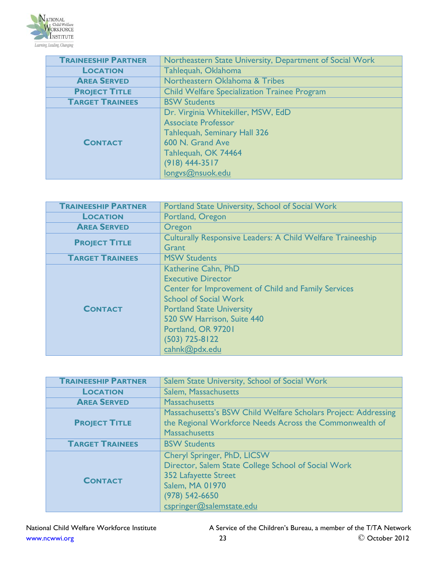

| <b>TRAINEESHIP PARTNER</b> | Northeastern State University, Department of Social Work |
|----------------------------|----------------------------------------------------------|
| <b>LOCATION</b>            | Tahlequah, Oklahoma                                      |
| <b>AREA SERVED</b>         | Northeastern Oklahoma & Tribes                           |
| <b>PROJECT TITLE</b>       | <b>Child Welfare Specialization Trainee Program</b>      |
| <b>TARGET TRAINEES</b>     | <b>BSW Students</b>                                      |
| <b>CONTACT</b>             | Dr. Virginia Whitekiller, MSW, EdD                       |
|                            | <b>Associate Professor</b>                               |
|                            | <b>Tahlequah, Seminary Hall 326</b>                      |
|                            | 600 N. Grand Ave                                         |
|                            | Tahlequah, OK 74464                                      |
|                            | $(918)$ 444-3517                                         |
|                            | longys@nsuok.edu                                         |

| <b>TRAINEESHIP PARTNER</b> | Portland State University, School of Social Work                                                                                                                                                                                                                     |
|----------------------------|----------------------------------------------------------------------------------------------------------------------------------------------------------------------------------------------------------------------------------------------------------------------|
| <b>LOCATION</b>            | Portland, Oregon                                                                                                                                                                                                                                                     |
| <b>AREA SERVED</b>         | Oregon                                                                                                                                                                                                                                                               |
| <b>PROJECT TITLE</b>       | <b>Culturally Responsive Leaders: A Child Welfare Traineeship</b><br>Grant                                                                                                                                                                                           |
| <b>TARGET TRAINEES</b>     | <b>MSW Students</b>                                                                                                                                                                                                                                                  |
| <b>CONTACT</b>             | Katherine Cahn, PhD<br><b>Executive Director</b><br>Center for Improvement of Child and Family Services<br><b>School of Social Work</b><br><b>Portland State University</b><br>520 SW Harrison, Suite 440<br>Portland, OR 97201<br>$(503)$ 725-8122<br>cahnk@pdx.edu |

| <b>TRAINEESHIP PARTNER</b> | Salem State University, School of Social Work                                                                                                                                          |
|----------------------------|----------------------------------------------------------------------------------------------------------------------------------------------------------------------------------------|
| <b>LOCATION</b>            | Salem, Massachusetts                                                                                                                                                                   |
| <b>AREA SERVED</b>         | <b>Massachusetts</b>                                                                                                                                                                   |
| <b>PROJECT TITLE</b>       | Massachusetts's BSW Child Welfare Scholars Project: Addressing<br>the Regional Workforce Needs Across the Commonwealth of<br><b>Massachusetts</b>                                      |
| <b>TARGET TRAINEES</b>     | <b>BSW Students</b>                                                                                                                                                                    |
| <b>CONTACT</b>             | Cheryl Springer, PhD, LICSW<br>Director, Salem State College School of Social Work<br>352 Lafayette Street<br><b>Salem, MA 01970</b><br>$(978) 542 - 6650$<br>cspringer@salemstate.edu |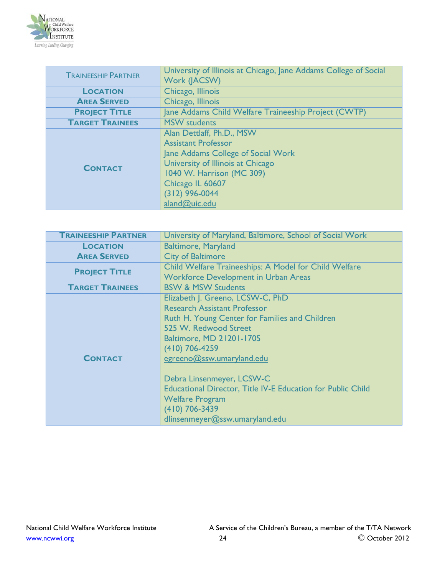

| <b>TRAINEESHIP PARTNER</b> | University of Illinois at Chicago, Jane Addams College of Social<br>Work (JACSW)                                                                                                                                         |
|----------------------------|--------------------------------------------------------------------------------------------------------------------------------------------------------------------------------------------------------------------------|
| <b>LOCATION</b>            | Chicago, Illinois                                                                                                                                                                                                        |
| <b>AREA SERVED</b>         | Chicago, Illinois                                                                                                                                                                                                        |
| <b>PROJECT TITLE</b>       | Jane Addams Child Welfare Traineeship Project (CWTP)                                                                                                                                                                     |
| <b>TARGET TRAINEES</b>     | <b>MSW</b> students                                                                                                                                                                                                      |
| <b>CONTACT</b>             | Alan Dettlaff, Ph.D., MSW<br><b>Assistant Professor</b><br>Jane Addams College of Social Work<br>University of Illinois at Chicago<br>1040 W. Harrison (MC 309)<br>Chicago IL 60607<br>$(312)$ 996-0044<br>aland@uic.edu |

| <b>TRAINEESHIP PARTNER</b> | University of Maryland, Baltimore, School of Social Work           |
|----------------------------|--------------------------------------------------------------------|
| <b>LOCATION</b>            | <b>Baltimore, Maryland</b>                                         |
| <b>AREA SERVED</b>         | <b>City of Baltimore</b>                                           |
| <b>PROJECT TITLE</b>       | Child Welfare Traineeships: A Model for Child Welfare              |
|                            | <b>Workforce Development in Urban Areas</b>                        |
| <b>TARGET TRAINEES</b>     | <b>BSW &amp; MSW Students</b>                                      |
|                            | Elizabeth J. Greeno, LCSW-C, PhD                                   |
|                            | <b>Research Assistant Professor</b>                                |
|                            | Ruth H. Young Center for Families and Children                     |
|                            | 525 W. Redwood Street                                              |
|                            | <b>Baltimore, MD 21201-1705</b>                                    |
|                            | $(410)$ 706-4259                                                   |
| <b>CONTACT</b>             | egreeno@ssw.umaryland.edu                                          |
|                            |                                                                    |
|                            | Debra Linsenmeyer, LCSW-C                                          |
|                            | <b>Educational Director, Title IV-E Education for Public Child</b> |
|                            | <b>Welfare Program</b>                                             |
|                            | $(410)$ 706-3439                                                   |
|                            | dlinsenmeyer@ssw.umaryland.edu                                     |